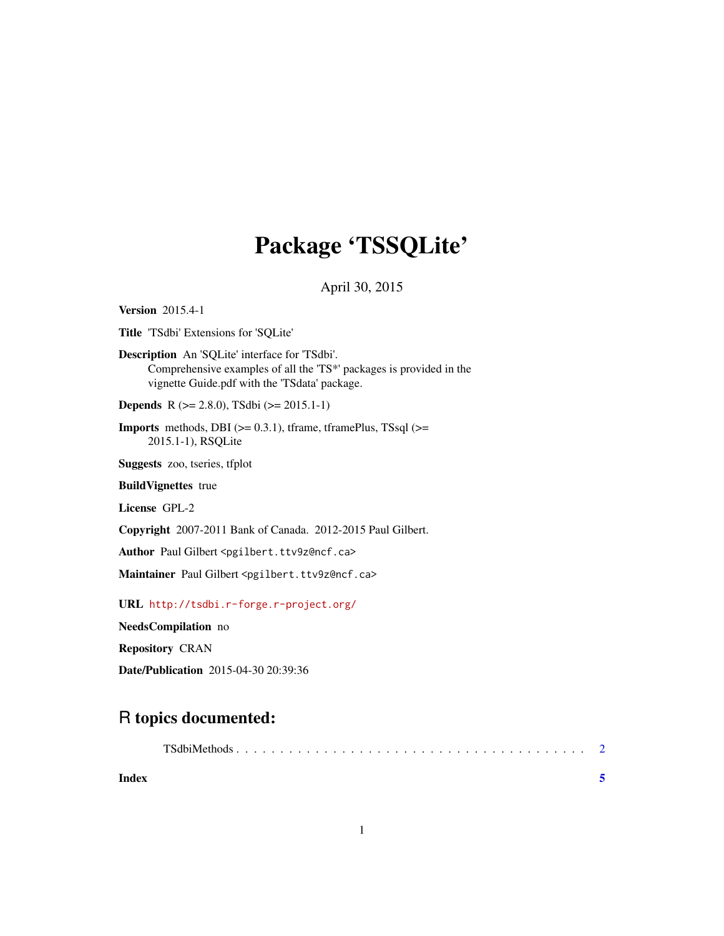## Package 'TSSQLite'

April 30, 2015

<span id="page-0-0"></span>Version 2015.4-1

Title 'TSdbi' Extensions for 'SQLite'

Description An 'SQLite' interface for 'TSdbi'. Comprehensive examples of all the 'TS\*' packages is provided in the vignette Guide.pdf with the 'TSdata' package.

Depends R (>= 2.8.0), TSdbi (>= 2015.1-1)

**Imports** methods, DBI  $(>= 0.3.1)$ , tframe, tframePlus, TSsql  $(>=$ 2015.1-1), RSQLite

Suggests zoo, tseries, tfplot

BuildVignettes true

License GPL-2

Copyright 2007-2011 Bank of Canada. 2012-2015 Paul Gilbert.

Author Paul Gilbert <pgilbert.ttv9z@ncf.ca>

Maintainer Paul Gilbert <pgilbert.ttv9z@ncf.ca>

URL <http://tsdbi.r-forge.r-project.org/>

NeedsCompilation no

Repository CRAN

Date/Publication 2015-04-30 20:39:36

### R topics documented:

| Index |  |  |  |  |  |  |  |  |  |  |  |  |  |  |  |  |
|-------|--|--|--|--|--|--|--|--|--|--|--|--|--|--|--|--|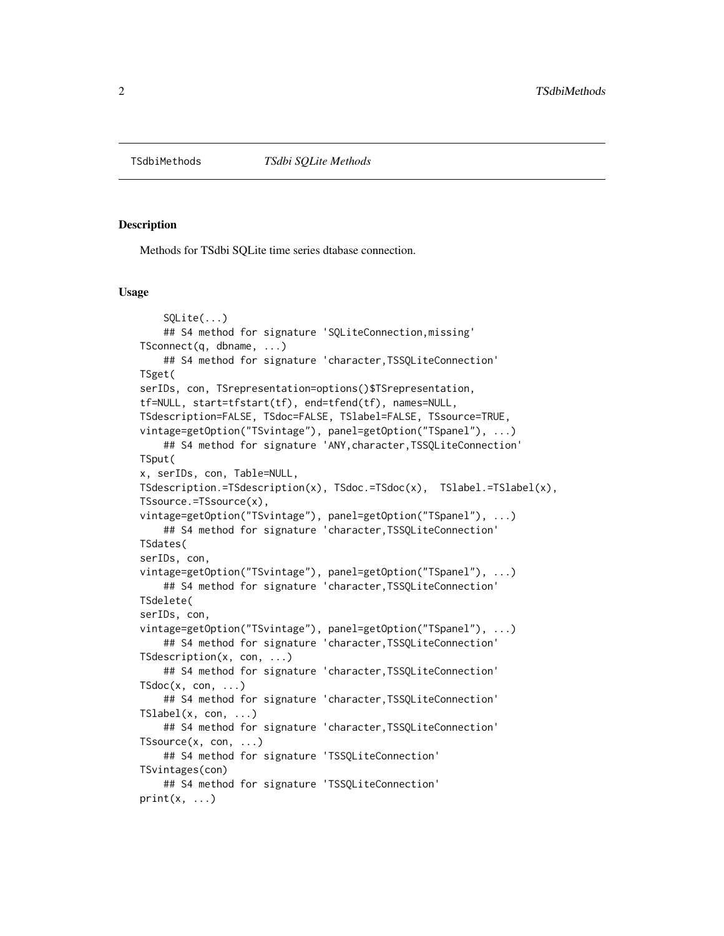<span id="page-1-0"></span>

#### Description

Methods for TSdbi SQLite time series dtabase connection.

#### Usage

```
SQLite(...)
    ## S4 method for signature 'SQLiteConnection,missing'
TSconnect(q, dbname, ...)
    ## S4 method for signature 'character,TSSQLiteConnection'
TSget(
serIDs, con, TSrepresentation=options()$TSrepresentation,
tf=NULL, start=tfstart(tf), end=tfend(tf), names=NULL,
TSdescription=FALSE, TSdoc=FALSE, TSlabel=FALSE, TSsource=TRUE,
vintage=getOption("TSvintage"), panel=getOption("TSpanel"), ...)
    ## S4 method for signature 'ANY, character, TSSQLiteConnection'
TSput(
x, serIDs, con, Table=NULL,
TSdescription.=TSdescription(x), TSdoc.=TSdoc(x), TSlabel.=TSlabel(x),
TSsource.=TSsource(x),
vintage=getOption("TSvintage"), panel=getOption("TSpanel"), ...)
    ## S4 method for signature 'character,TSSQLiteConnection'
TSdates(
serIDs, con,
vintage=getOption("TSvintage"), panel=getOption("TSpanel"), ...)
    ## S4 method for signature 'character,TSSQLiteConnection'
TSdelete(
serIDs, con,
vintage=getOption("TSvintage"), panel=getOption("TSpanel"), ...)
    ## S4 method for signature 'character,TSSQLiteConnection'
TSdescription(x, con, ...)
    ## S4 method for signature 'character,TSSQLiteConnection'
TSdoc(x, con, \ldots)## S4 method for signature 'character,TSSQLiteConnection'
TShabel(x, con, ...)## S4 method for signature 'character,TSSQLiteConnection'
TSsource(x, con, ...)
    ## S4 method for signature 'TSSQLiteConnection'
TSvintages(con)
    ## S4 method for signature 'TSSQLiteConnection'
print(x, \ldots)
```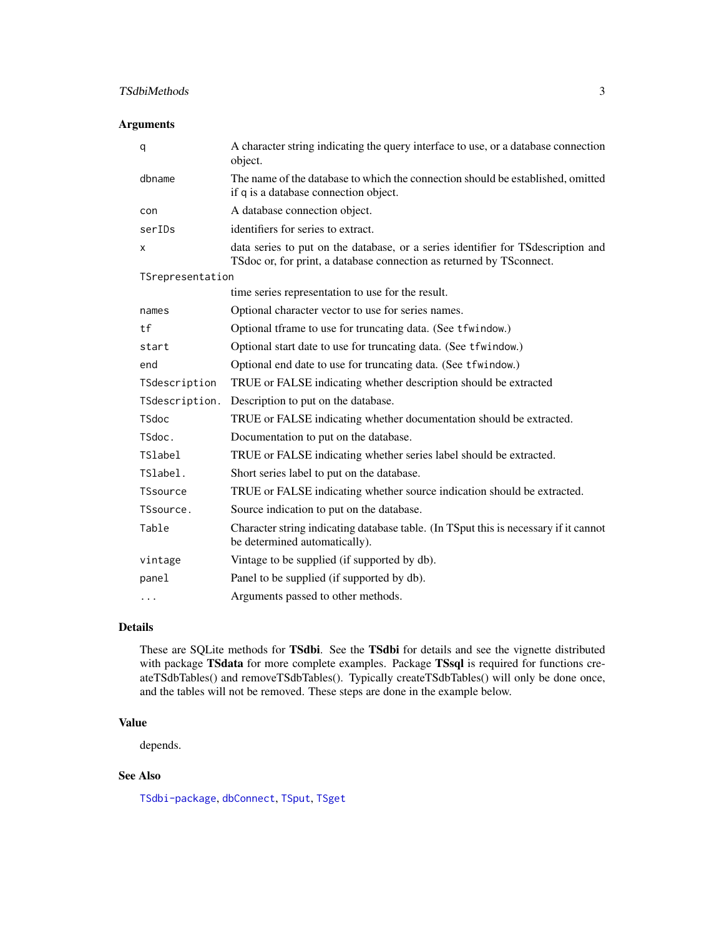#### <span id="page-2-0"></span>TSdbiMethods 3

#### Arguments

| q                | A character string indicating the query interface to use, or a database connection<br>object.                                                             |
|------------------|-----------------------------------------------------------------------------------------------------------------------------------------------------------|
| dbname           | The name of the database to which the connection should be established, omitted<br>if q is a database connection object.                                  |
| con              | A database connection object.                                                                                                                             |
| serIDs           | identifiers for series to extract.                                                                                                                        |
| X                | data series to put on the database, or a series identifier for TS description and<br>TSdoc or, for print, a database connection as returned by TSconnect. |
| TSrepresentation |                                                                                                                                                           |
|                  | time series representation to use for the result.                                                                                                         |
| names            | Optional character vector to use for series names.                                                                                                        |
| tf               | Optional tframe to use for truncating data. (See tfwindow.)                                                                                               |
| start            | Optional start date to use for truncating data. (See tfwindow.)                                                                                           |
| end              | Optional end date to use for truncating data. (See tfwindow.)                                                                                             |
| TSdescription    | TRUE or FALSE indicating whether description should be extracted                                                                                          |
| TSdescription.   | Description to put on the database.                                                                                                                       |
| <b>TSdoc</b>     | TRUE or FALSE indicating whether documentation should be extracted.                                                                                       |
| TSdoc.           | Documentation to put on the database.                                                                                                                     |
| <b>TSlabel</b>   | TRUE or FALSE indicating whether series label should be extracted.                                                                                        |
| TSlabel.         | Short series label to put on the database.                                                                                                                |
| TSsource         | TRUE or FALSE indicating whether source indication should be extracted.                                                                                   |
| TSsource.        | Source indication to put on the database.                                                                                                                 |
| Table            | Character string indicating database table. (In TSput this is necessary if it cannot<br>be determined automatically).                                     |
| vintage          | Vintage to be supplied (if supported by db).                                                                                                              |
| panel            | Panel to be supplied (if supported by db).                                                                                                                |
| $\cdots$         | Arguments passed to other methods.                                                                                                                        |

#### Details

These are SQLite methods for TSdbi. See the TSdbi for details and see the vignette distributed with package TSdata for more complete examples. Package TSsql is required for functions createTSdbTables() and removeTSdbTables(). Typically createTSdbTables() will only be done once, and the tables will not be removed. These steps are done in the example below.

#### Value

depends.

#### See Also

[TSdbi-package](#page-0-0), [dbConnect](#page-0-0), [TSput](#page-0-0), [TSget](#page-0-0)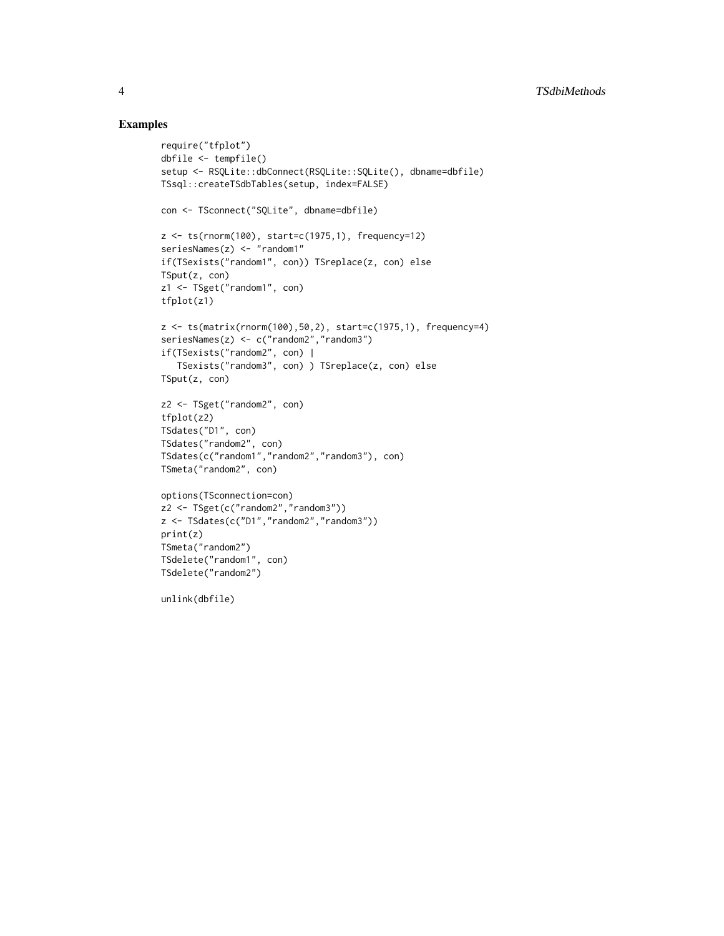#### Examples

```
require("tfplot")
dbfile <- tempfile()
setup <- RSQLite::dbConnect(RSQLite::SQLite(), dbname=dbfile)
TSsql::createTSdbTables(setup, index=FALSE)
con <- TSconnect("SQLite", dbname=dbfile)
z <- ts(rnorm(100), start=c(1975,1), frequency=12)
seriesNames(z) <- "random1"
if(TSexists("random1", con)) TSreplace(z, con) else
TSput(z, con)
z1 <- TSget("random1", con)
tfplot(z1)
z \leq ts(matrix(rnorm(100),50,2), start=c(1975,1), frequency=4)
seriesNames(z) <- c("random2","random3")
if(TSexists("random2", con) |
  TSexists("random3", con) ) TSreplace(z, con) else
TSput(z, con)
z2 <- TSget("random2", con)
tfplot(z2)
TSdates("D1", con)
TSdates("random2", con)
TSdates(c("random1","random2","random3"), con)
TSmeta("random2", con)
options(TSconnection=con)
z2 <- TSget(c("random2","random3"))
z <- TSdates(c("D1","random2","random3"))
print(z)
TSmeta("random2")
TSdelete("random1", con)
TSdelete("random2")
unlink(dbfile)
```